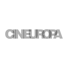# CINEUROPA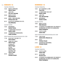#### I 12 SÁBADO 12

TEATRO PRINCIPAL

- 16:00 MÚSICA CAMPESINA Alberto Fuguet
- 18:00 JANE EYRE Cary Joji Fukunaga
- 20:00 MEEK'S CUTOFF Kelly Reichardt
- 22:00 KISEKI / I WISH (MILAGRE) Hirokazu Kore-eda
- 00:15 KILLER ELITE (ASASINOS DE ELITE) Gary McKendry
- SALÓN TEATRO
- 18:00 MEDIANERAS Gustavo Taretto
- 20:00 ET MAINTENANT ON VA OÙ? Nadine Labaki
- 22:00 TYRANNOSAUR (TIRANOSAURO) Paddy Considine
- SEDE FUNDACIÓN NOVACAIXAGALICIA-CSM
- 17:30 ELVIS:THAT'S THE WAY IT IS Denis Sanders
- 19:30 COMO FOI O CONTO Alberte Pagán
	- OS WASLALA
	- Alberte Pagán

**FCLIPSE** Alberte Pagán

FAUSTINO 1936

Alberte Pagán

20:45 JERICHOW Christian Petzold

#### DOMINGO 13

#### TEATRO PRINCIPAL

- 16:00 DE TU VENTANA A LA MÍA Paula Ortiz
- 18:00 FT MAINTENANT ON VA OLI? Nadine Labaki
- 20:00 JANE EYRE Cary Joji Fukunaga
- 22:15 MEDIANERAS Gustavo Taretto

#### SALÓN TEATRO

- 18:00 MEEK'S CUTOFF Kelly Reichardt
- 20:00 LES NEIGES DU KILIMANDJARO (THE SNOWS OF KILIMANJARO) (AS NEVES DO KILIMANJARO) Robert Guédiguian
- 22:00 IF NOT US, WHO Andres Veiel

#### SEDE FUNDACIÓN NOVACAIXAGALICIA-CSM

- 17:30 THIS IS ELVIS Andrew Solt e Malcolm Leo
- 20:00 YELLA Christian Petzold
- 21:45 GESPENSTER (FANTASMAS) Christian Petzold

#### LUNS 14

#### TEATRO PRINCIPAL

- 18:00 IF NOT US, WHO Andres Veiel
- 20:15 OUTRO MÁIS Ricardo Llovo
- 22:30 LES NEIGES DU KILIMANDJARO (THE SNOWS OF KILIMANJARO) (AS NEVES DO KILIMANJARO) Robert Guédiguian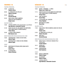#### TEATRO PRINCIPAL

- 18:00 LA VIDA ÚTIL Federico Veiroj
- 20:00 EL FABRICANTE DE CEPILLOS Alberto Yaccelini
- 22:00 MISS BALA Gerardo Naranjo
- 23:45 ONCE UPON A TIME IN AMERICA (UNHA VEZ ERA EN AMÉRICA) Sergio Leone

#### SALÓN TEATRO

- 19:00 CONTRA A MORTE: Unha aproximación a Lois Pereiro Iago Martínez e Alexandre Cancelo
- 21:00 SHAN ZHA SHU ZHI LIAN (UNDER THE HAWTHORN TREE) (AMOR BAIXO O ESPIÑO BRANCO) Yimou Zhang
- 23:00 LE PÈRE DE MES ENFANTS Mia Hansen-Love

#### SEDE FUNDACIÓN NOVACAIXAGALICIA-CSM

- 18:00 TANYARADZWA I: CENAS DA VIDA RURAL Alberte Pagán
- 21:00 TANYARADZWA II: CENAS DA VIDA URBANA Alberte Pagán
- CGAC
- 19:45 WINTERNACHTSTRAUM (SOÑO DUNHA NOITE INVERNAL) Andres Veiel
- 21:45 KLASSENFAHRT Henner Winckler

#### **VENRES 18** International Contract Construction of the SABADO 19 International Construction of the International Construction of the International Construction of the International Construction of the International Constru SÁRADO 19

#### TEATRO PRINCIPAL

- 16:00 NOVIAS MADRINAS 15 AÑOS Diego Levy e Pablo Levy
- 17:15 SHAN ZHA SHU ZHI LIAN (UNDER THE HAWTHORN TREE) (AMOR BAIXO O ESPIÑO BRANCO) Zhang Yimou
- 19:15 TAKE THIS WALTZ Sarah Polley
- 21:15 LAS RAZONES DEL CORAZÓN Arturo Ripstein
- 23:15 MISTERIOS DE LISBOA Raoul Ruiz
- SALÓN TEATRO
- 17:00 ONCE UPON A TIME IN AMERICA (UNHA VEZ ERA EN AMÉRICA) Sergio Leone
- 21:00 EL FABRICANTE DE CEPILLOS Alberto Yaccelini
- 23:00 MISS BALA Gerardo Naranjo

#### SEDE FUNDACIÓN NOVACAIXAGALICIA-CSM

- 17:30 MERCI POUR LE CHOCOLAT (GRAZAS POLO CHOCOLATE) Claude Chabrol
- 19:15 BUNGALOW Ulrich Köhler
- 21:00 UNDERGROUND Emir Kusturica
- CGAC
- 18:00 MÚSICA CAMPESINA Alberto Fuguet
- 20:00 VELÓDROMO Alberto Fuguet
- 21:30 CONTRA A MORTE Iago Martinez e Alexandre Cancelo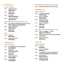#### **118 VENRES 25**

TEATRO PRINCIPAL

- 17:45 A PEDRA DO LOBO Alberte Pagán
- 19:45 VIKINGLAND Xurxo Chirro
- 22:00 THE ARTIST Michel Hazanavicius
- 23:45 LOS PASOS DOBLES Isaki Lacuesta

#### SEDE FUNDACIÓN NOVACAIXAGALICIA-CSM

- 17:30 DAS LEBEN DER ANDEREN (A VIDA DOS OUTROS) Florian Henckel von Donnersmarck
- 20:00 MÚSICA CAMPESINA Alberto Fuguet
- 22:00 BUNGALOW Ulrich Köhler

CGAC

- 19:45 BALAGAN Andres Veiel
- 21:30 DER KICK (O GOLPE) Andres Veiel

#### SÁBADO 26

#### TEATRO PRINCIPAL

- 16:30 THE CONSPIRATOR (O CONSPIRADOR) Robert Redford
- 18:45 THE ARTIST Michel Hazanavicius
- 20:30 ROUTE IRISH Ken Loach
- 22:30 ROAD TO NOWHERE Monte Hellman
- 00:30 EL ESTUDIANTE Santiago Mitre

SEDE FUNDACIÓN NOVACAIXAGALICIA-CSM

18:00 MARATON ELVIS PRESLEY EN HOLLYWOOD

#### DOMINGO 27

#### TEATRO PRINCIPAL

- 16:00 LA REINE DES POMMES Valérie Donzelli
- 17:30 ROAD TO NOWHERE Monte Hellman
- 19:45 ESSENTIAL KILLING Jerzy Skolimowski
- 21:15 GUILTY OF ROMANCE Shion Sono
- 23:15 COLD FISH Shion Sono

#### SEDE FUNDACIÓN NOVACAIXAGALICIA-CSM

- 17:30 NOVIAS MADRINAS 15 AÑOS Diego Levy e Pablo Levy
- 18:30 DANCER IN THE DARK (BAILAR NA ESCURIDADE) Lars von Trier
- 21:00 DER KICK (O GOLPE) Andres Veiel

#### LUNS 28

#### TEATRO PRINCIPAL

- 16:00 COLD FISH Shion Sono
- 18:30 GUILTY OF ROMANCE Shion Sono
- 20:30 LE GAMIN AU VÉLO (O NENO DA BICICLETA) Jean-Pierre Dardenne e Luc Dardenne
- 22:15 FAUST (FAUSTO) Alexandr Sokurov
- 00:30 ESSENTIAL KILLING Jerzy Skolimowski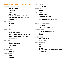#### PANORAMA AUDIOVISUAL GALEGO

#### **INTEGRAL ALBERTE PAGÁN**

**COMO FOI O CONTO OS WASI ALA FCI IPSF** FAUSTINO 1936 **TANYARADZWA 1: CENAS DA VIDA RURAL** TANYARADZWA 2: CENAS DA VIDA URBANA A PEDRA DO LORO

#### **XURXO CHIRRO**

**RRASILINO** 

36/75

FMIL IO

#### **LOIS PATIÑO**

**ESLIVA** NA VIRRACIÓN DA TERRA PAISA.IF - DISTANCIA: CARRERA EN LAS DUNAS **PAISAJE - DISTANCIA: CAMPO DE FÚTBOL ECOS DEL BOSQUE** 

#### **YACIO RAÑO**

**QUENTEFRIO RELACIÓN DE ACORDES ESTEREOSCOPIA ANACOS** 

#### **ALBERTO GRACIA**

#### **MICROFUGAS**

**MARCOS NINE** 

**LOSADA** 

**INASIBLE 2** 

#### **ÁNGEL SANTOS**

#### **ADOLESCENTES**

#### **OTTO ROCA**

#### **PIEDAD**

#### SONIA MÉNDEZ

PERVERSA LOLA **LEO Y MARIO (SE DEJAN)** AS DAMAS NEGRAS **CONVERSACIÓN CUNHA MULLER MORTA** 

#### **CARLOS MEIXIDE E TOMAS LIJO**

CASCALLOS **O MEU NOME O MEU MUNDO** 

#### **SENEM OUTEIRO**

O ESPÍRITU DAS BRINCADEIRAS  $24$ **OPHIUSA ANTON CAEIRO ESTA NOITE, VELADA** 

#### **ARDE MADRID**

#### **BORJA MUCIENTES**

 $T-R$ **TÚNEI** 

**BOSOUE** 

**DOLL DOLL DOLL... COAS CONSERVEIRAS, REXISTRO DE TRABALLO OUTRO MÁIS**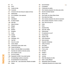- 
- I 90 I 36/75
- I 89 I A pedra do lobo
- I 102 I A semente
- I 42 I A Torinói ló (The Turin Horse) (O cabalo de Torino)
- I 94 I Adolescentes
- I 54 I Ai no mukidashi (Love exposure)
- I 93 I Anacos
- I 98 I Arde Madrid
- I 96 I As damas negras
- I 106 I Astro Boy
- I 35 I Attack the block
- I 72 I Balagan
- I 99 I Bosque
- I 90 I Brasilino
- I 70 I Bungalow
- I 79 I Caché.
- I 110 I Carabás
- I 97 I Cascallos
- I 101 I Cienfuegos, 1913
- I 53 I Cold Fish
- I 88 I Como foi o conto
- I 59 I Contra a Morte
- I 96 I Conversación cunha muller morta
- I 103 I Cousas do Kulechov
- **178 Dancer in the dark (Bailar na escuridade).**
- I 77 I Das leben der anderen (A vida dos outros).
- I 36 I De tu ventana a la mía
- I 73 I Der kick (O golpe)
- I 106 I Despicable me (GRU: O meu vilán favorito)
- I 74 I Die Spielwütigen (adictos á actuación)
- I 73 I Die überlebenden (Os sobreviventes)
- I 100 I Doli Doli Doli... coas conserveiras. Rexistro de traballo
- I 88 I Eclipse
- **I 97 I 24 I** 25 **I** 25 **I** 26 **I** 25 **I** 25 **I** 25 **I** 25 **I** 25 I 92 I Ecos del bosque
	- I 47 I El estudiante
	- I 58 I El fabricante de cepillos
	- I 84 I Elvis: Grandes actuacións: Da cintura para arriba
	- **1831** Elvis 68: Comeback Special
	- **1821** Elvis on Tour
	- I 82 I Elvis Presley: the Classic Album Series
	- I 85 I Elvis: Aloha from Hawai
	- I 83 I Elvis: Grandes actuacións: No centro do escenario
	- I 84 I Elvis: Grandes actuacións: O home e a música
	- **186 | Elvis: That's the way it is**
	- I 89 I Emilio
	- I 91 I Esliva
	- 135 | Essential killing
	- I 98 I Esta noite, velada
	- I 93 I Estereoscopia
	- I 47 I Et maintenant on va où?
	- I 36 I Faust (Fausto)
	- I 88 I Faustino 1936
	- I 69 I Ferien (Vacacións)
	- I 101 I Gato encerrado
	- I 68 I Gespenter (Fantasmas)
	- **I** 43 **I** Guilty of romance
	- I 38 I Hors Satan
	- I 60 I Ibiza Occidente
	- I 39 I If not us, who
	- I 101 I Illa Pedra
	- I 94 I Inasible 2
	- 1391 Jane Eyre
	- I 66 I Jerichow
	- I 46 I Killer Elite (Asasinos de elite)
	- I 52 I Kiseki (I wish) (Milagre)
	- I 70 I Klassenfahrt (Viaxe de estudos)
	- I 34 I L´Apollonide (Souvenirs de la maison close)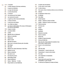- I 26 I 114 I L´humanitè
	- | 76 | La belle noiseuse (A fermosa mentireira).
	- I 37 La querre est dèclarèe
	- I 59 I La mujer del eternauta
	- I 43 I La reine del pommes
	- I 62 I La vida útil
	- I 107 I Las aventuras de Don Quijote
	- I 49 I Las razones del corazón
	- I 37 I Le gamín au vélo (O neno da Bicicleta)
	- I 38 I Le Havre (O Havre)
	- I 41 I Le père des mes enfants
	- I 96 I Leo y Mario (se dejan)
	- I 40 I Les neijes du Kilimandjaro (The snows of Kilimanjaro) (As neves do Kilimanjaro)
	- I 103 I Linguas cruzadas
	- I 40 I Los pasos dobles
	- I 93 I Losada
	- I 86 I Maratón Elvis en Hollywood
	- I 76 I Marius et Jeannette.
	- I 48 I Medianeras
	- I 48 I Meek's Cutoff
	- I 58 I Mercado de futuros
	- **180 | Merci pour le chocolat (Grazas polo chocolate).**
	- I 93 I Microfugas
	- I 49 I Miss Bala
	- I 56 I Misterios de Lisboa (Homenaxe a Raúl Ruiz)
	- I 101 I Mulleres na raia
	- I 64 I Música campesina
	- **I** 77 I My name is Joe
	- I 91 I Na vibración da terra
	- I 68 I Nachmittag (Tarde)
	- I 79 I Naked (Indefenso)
	- I 63 I Novias Madrinas 15 años
	- I 32 I Novyy Vavilon (a nova Babilonia)
- I 97 I O espíritu das brincadeiras
- I 97 I O meu nome o meu mundo
- I 103 I O mito de Venus
- I 56 I Once upon a time in América (Unha vez era en América)
- I 98 I Ophiusa
- I 102 I Os fabulosos irmáns da luz
- I 88 I Os Waslala
- I 100 I Outro Máis
- I 30 I Oviedo Express
- I 91 I Paisaje Distancia: Campo de fútbol
- I 91 I Paisaje Distancia: Carrera en las dunas
- I 112 I Película sorpresa
- I 95 I Perversa Lola
- I 95 I Piedad
- I 69 I Pingpong
- I 92 I Quentefrio
- I 92 I Relación de acordes
- **I** 49 **I** Road to nowhere
- I 41 I Route irish
- I 67 I Schläfer (O Espía dormente)
- I 67 I Sehnsucht (Morriña)
- I 52 I Shan zha shu zhi lian (Under the hawthorn tree) (amor baixo o espiño branco
- I 111 I Susan in red (curtametraxe)
- I 99 I T-R
- I 50 I Take this waltz
- I 89 I Tanyaradzwa 1: cenas da vida rural
- I 89 I Tanyaradzwa 2: cenas da vida urbana
- I 34 I The artist
- **I 46 I** The conspirator (O conspirador)
- I 85 I This is Elvis
- I 107 I Tinker bell and the great fairy rescue (Campañilla e o gran rescate)
- **178 I** To vlemma tou Odyssea (A mirada de Ulises).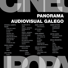## **PANORAMA** AUDIOVISUAL GALEGO

#### **INTEGRAL ALBERTE PAGÁN**

**COMO FOI O CONTO OS WASI AI A ECLIPSE FAUSTINO 1936 TANYARADZWA 1: CENAS DA VIDA RURAL TANYARADZWA 2: CENAS DA VIDA URBANA** A PEDRA DO LOBO

#### **XURXO CHIRRO**

**BRASILINO** 36/75 **EMILIO** 

**I OIS PATIÑO ESLIVA** 

NA VIRRACIÓN DA **TFRRA PAISAJE - DISTANCIA: CARRERA EN LAS DUNAS PAISAJE - DISTANCIA: CAMPO DE FÚTBOL ECOS DEL BOSOUE XACIO BAÑO OUENTEFRIO RELACIÓN DE ACORDES ESTEREOSCOPIA ANACOS** 

#### **ALBERTO GRACIA MICROFUGAS**

**MARCOS NINE I OSADA INASIBLE 2**  ÁNGEL SANTOS **ADOLESCENTES** 

#### **OTTO ROCA PIEDAD**

### **SONIA MÉNDEZ**

**PERVERSA LOLA LEO Y MARIO (SE DEJAN) AS DAMAS NEGRAS CONVERSACIÓN CUNHA MULLER MORTA** 

#### **CARLOS MEIXIDE E TOMAS LIJO**

**CASCALLOS O MEU NOME O MEU MUNDO** 

#### **SENEM OUTEIRO** O ESPÍRITU DAS **RRINCADEIRAS** 24 **OPHIUSA**

#### **ANTON CAEIRO ESTA NOITE, VELADA ARDE MADRID**

#### **ROR.IA MIICIFNTFS**

 $T-R$ **TÚNEL ROSOUF** DOLI DOLI DOLI... **COAS CONSERVEIRAS. REXISTRO DE TRABALLO OUTRO MÁIS**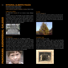#### I 88**INTEGRAL ALBERTE PAGÁN**

Información común a todos os filmes: I Xénero Documental / Experimental I Guión, dirección, produción, fotografía e montaxe: Alberte Pagán

#### COMO FOI O CONTO

Ano 1999-2004 I Duración 30′, cor e branco e negro, diálogos en galego

Como foi o conto é un conto de Natal, cos seus misterios, intrigas e inesperado desenlace. Un conto de Nadal contado desde un día de defuntos. Unha comedia sobre unha traxedia. Como foi o conto é unha película familiar sobre as relacións humanas, sobre a diglosia, sobre o conflito xeracional, sobre a relixión, sobre a educación, sobre a cultura, sobre a política.



#### OS WASLALA

Ano 1996-2005 I Duración 14', cor, diálogos en castelán

Os waslala, labregos e labregas do norte de Nicaragua, sandinistas perseguidos pola Contra e pola ReContra, cidadáns sen papeis esquecidos do goberno, expulsados polo exército unha e outra vez, fuxidos da violencia do norte, fartos e fartas de tiros e mortes, dispostos a morrer para conservar o conseguido. Un documental sobre Silvano, Taquín e Marcia, tres waslala rescatados dun mar de rostros. Tres rostros e os seus xestos, as súas miradas, a súa serenidade no medio da zozobra, a súa dignidade.



#### ECLIPSE Ano 2010 I Duración 20'

O tempo pasa. A vida flúe. A natureza completa un ciclo enteiro de vida e morte. Eva e Adán reinterpretan e corrixen o mito da árbore da ciencia: a froita prohibida fainos sabios. Entanto a terra dá unha volta arredor do sol a cámara recolle unha sinfonía barroca de luces e cores. Non hai manipulación dixital: todos os efectos son producidos analoxicamente polo mecanismo da cámara.



#### FAUSTINO 1936

#### Ano 2010 I Duración 6′, muda

Faustino non está na fotografía, mais é a causa da fotografía. Faustino vive e traballa na Arxentina. Casará, terá fillos, ficará viúvo, será asasinado. Faustino pídelle á familia unha fotografía, para telos na memoria. A familia camiña desde Cenlle a Ribadavia para deixarse retratar. Para tomar a única fotografía conservada, na Galiza ou na Arxentina, na que aparece a familia enteira. Agás Faustino. Que non está na fotografía mais é a causa da fotografía.